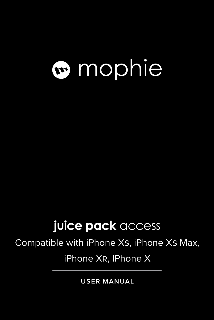# mophie

### **juice pack** access

Compatible with iPhone Xs, iPhone Xs Max,

iPhone Xr, IPhone X

**USER MANUAL**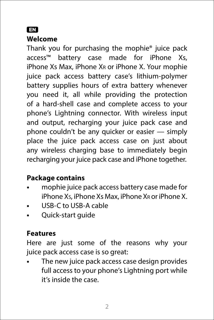#### EN

#### **Welcome**

Thank you for purchasing the mophie® juice pack access™ battery case made for iPhone Xs, iPhone Xs Max, iPhone Xr or iPhone X. Your mophie juice pack access battery case's lithium-polymer battery supplies hours of extra battery whenever you need it, all while providing the protection of a hard-shell case and complete access to your phone's Lightning connector. With wireless input and output, recharging your juice pack case and phone couldn't be any quicker or easier — simply place the juice pack access case on just about any wireless charging base to immediately begin recharging your juice pack case and iPhone together.

#### **Package contains**

- **•** mophie juice pack access battery case made for iPhone Xs, iPhone Xs Max, iPhone X<sup>r</sup> or iPhone X.
- **•** USB-C to USB-A cable
- **•** Quick-start guide

#### **Features**

Here are just some of the reasons why your juice pack access case is so great:

**•** The new juice pack access case design provides full access to your phone's Lightning port while it's inside the case.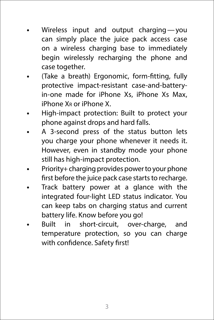- **•** Wireless input and output charging—you can simply place the juice pack access case on a wireless charging base to immediately begin wirelessly recharging the phone and case together.
- **•** (Take a breath) Ergonomic, form-fitting, fully protective impact-resistant case-and-batteryin-one made for iPhone Xs, iPhone Xs Max, iPhone Xr or iPhone X.
- **•** High-impact protection: Built to protect your phone against drops and hard falls.
- **•** A 3-second press of the status button lets you charge your phone whenever it needs it. However, even in standby mode your phone still has high-impact protection.
- **•** Priority+ charging provides power to your phone first before the juice pack case starts to recharge.
- **•** Track battery power at a glance with the integrated four-light LED status indicator. You can keep tabs on charging status and current battery life. Know before you go!
- **•** Built in short-circuit, over-charge, and temperature protection, so you can charge with confidence. Safety first!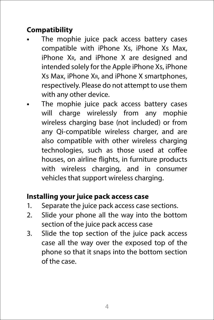#### **Compatibility**

- The mophie juice pack access battery cases compatible with iPhone Xs, iPhone Xs Max, iPhone Xr, and iPhone X are designed and intended solely for the Apple iPhone Xs, iPhone Xs Max, iPhone Xr, and iPhone X smartphones, respectively. Please do not attempt to use them with any other device.
- The mophie juice pack access battery cases will charge wirelessly from any mophie wireless charging base (not included) or from any Qi-compatible wireless charger, and are also compatible with other wireless charging technologies, such as those used at coffee houses, on airline flights, in furniture products with wireless charging, and in consumer vehicles that support wireless charging.

#### **Installing your juice pack access case**

- 1. Separate the juice pack access case sections.
- 2. Slide your phone all the way into the bottom section of the juice pack access case
- 3. Slide the top section of the juice pack access case all the way over the exposed top of the phone so that it snaps into the bottom section of the case.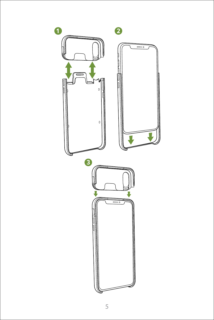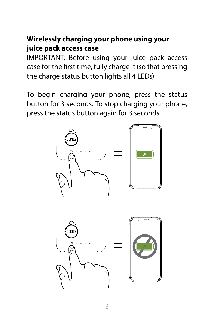#### **Wirelessly charging your phone using your juice pack access case**

IMPORTANT: Before using your juice pack access case for the first time, fully charge it (so that pressing the charge status button lights all 4 LEDs).

To begin charging your phone, press the status button for 3 seconds. To stop charging your phone, press the status button again for 3 seconds.



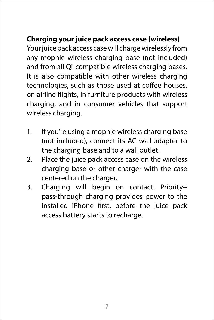#### **Charging your juice pack access case (wireless)**

Your juice packaccess case will charge wirelessly from any mophie wireless charging base (not included) and from all Qi-compatible wireless charging bases. It is also compatible with other wireless charging technologies, such as those used at coffee houses, on airline flights, in furniture products with wireless charging, and in consumer vehicles that support wireless charging.

- 1. If you're using a mophie wireless charging base (not included), connect its AC wall adapter to the charging base and to a wall outlet.
- 2. Place the juice pack access case on the wireless charging base or other charger with the case centered on the charger.
- 3. Charging will begin on contact. Priority+ pass-through charging provides power to the installed iPhone first, before the juice pack access battery starts to recharge.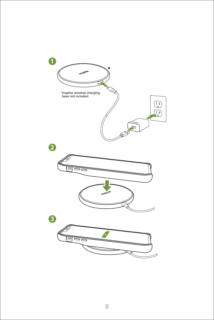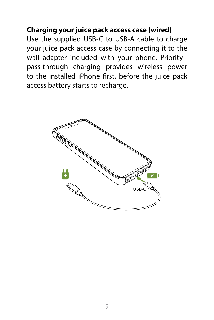#### **Charging your juice pack access case (wired)**

Use the supplied USB-C to USB-A cable to charge your juice pack access case by connecting it to the wall adapter included with your phone. Priority+ pass-through charging provides wireless power to the installed iPhone first, before the juice pack access battery starts to recharge.

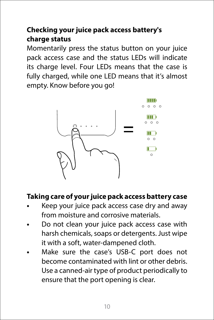#### **Checking your juice pack access battery's charge status**

Momentarily press the status button on your juice pack access case and the status LEDs will indicate its charge level. Four LEDs means that the case is fully charged, while one LED means that it's almost empty. Know before you go!



#### **Taking care of your juice pack access battery case**

- **•** Keep your juice pack access case dry and away from moisture and corrosive materials.
- **•** Do not clean your juice pack access case with harsh chemicals, soaps or detergents. Just wipe it with a soft, water-dampened cloth.
- **•** Make sure the case's USB-C port does not become contaminated with lint or other debris. Use a canned-air type of product periodically to ensure that the port opening is clear.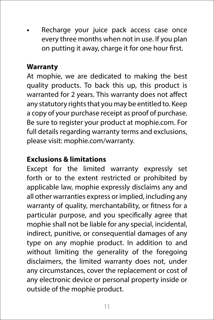**•** Recharge your juice pack access case once every three months when not in use. If you plan on putting it away, charge it for one hour first.

#### **Warranty**

At mophie, we are dedicated to making the best quality products. To back this up, this product is warranted for 2 years. This warranty does not affect any statutory rights that you may be entitled to. Keep a copy of your purchase receipt as proof of purchase. Be sure to register your product at mophie.com. For full details regarding warranty terms and exclusions, please visit: [mophie.com/warranty](http://mophie.com/warranty).

#### **Exclusions & limitations**

Except for the limited warranty expressly set forth or to the extent restricted or prohibited by applicable law, mophie expressly disclaims any and all other warranties express or implied, including any warranty of quality, merchantability, or fitness for a particular purpose, and you specifically agree that mophie shall not be liable for any special, incidental, indirect, punitive, or consequential damages of any type on any mophie product. In addition to and without limiting the generality of the foregoing disclaimers, the limited warranty does not, under any circumstances, cover the replacement or cost of any electronic device or personal property inside or outside of the mophie product.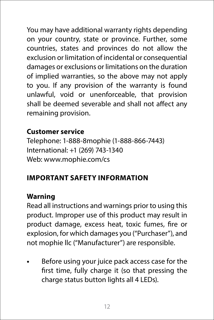You may have additional warranty rights depending on your country, state or province. Further, some countries, states and provinces do not allow the exclusion or limitation of incidental or consequential damages or exclusions or limitations on the duration of implied warranties, so the above may not apply to you. If any provision of the warranty is found unlawful, void or unenforceable, that provision shall be deemed severable and shall not affect any remaining provision.

#### **Customer service**

Telephone: 1-888-8mophie (1-888-866-7443) International: +1 (269) 743-1340 Web: www.mophie.com/cs

#### **IMPORTANT SAFETY INFORMATION**

#### **Warning**

Read all instructions and warnings prior to using this product. Improper use of this product may result in product damage, excess heat, toxic fumes, fire or explosion, for which damages you ("Purchaser"), and not mophie llc ("Manufacturer") are responsible.

**•** Before using your juice pack access case for the first time, fully charge it (so that pressing the charge status button lights all 4 LEDs).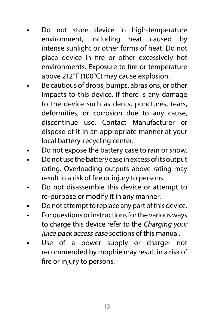- **•** Do not store device in high-temperature environment, including heat caused by intense sunlight or other forms of heat. Do not place device in fire or other excessively hot environments. Exposure to fire or temperature above 212°F (100°C) may cause explosion.
- **•** Be cautious of drops, bumps, abrasions, or other impacts to this device. If there is any damage to the device such as dents, punctures, tears, deformities, or corrosion due to any cause, discontinue use. Contact Manufacturer or dispose of it in an appropriate manner at your local battery-recycling center.
- **•** Do not expose the battery case to rain or snow.
- **•** Do not use the battery case in excess of its output rating. Overloading outputs above rating may result in a risk of fire or injury to persons.
- **•** Do not disassemble this device or attempt to re-purpose or modify it in any manner.
- **•** Do not attempt to replace any part of this device.
- **•** For questions or instructions for the various ways to charge this device refer to the Charging your juice pack access case sections of this manual.
- **•** Use of a power supply or charger not recommended by mophie may result in a risk of fire or injury to persons.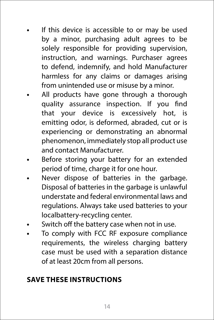- **•** If this device is accessible to or may be used by a minor, purchasing adult agrees to be solely responsible for providing supervision, instruction, and warnings. Purchaser agrees to defend, indemnify, and hold Manufacturer harmless for any claims or damages arising from unintended use or misuse by a minor.
- **•** All products have gone through a thorough quality assurance inspection. If you find that your device is excessively hot, is emitting odor, is deformed, abraded, cut or is experiencing or demonstrating an abnormal phenomenon, immediately stop all product use and contact Manufacturer.
- **•** Before storing your battery for an extended period of time, charge it for one hour.
- **•** Never dispose of batteries in the garbage. Disposal of batteries in the garbage is unlawful understate and federal environmental laws and regulations. Always take used batteries to your localbattery-recycling center.
- **•** Switch off the battery case when not in use.
- **•** To comply with FCC RF exposure compliance requirements, the wireless charging battery case must be used with a separation distance of at least 20cm from all persons.

#### **SAVE THESE INSTRUCTIONS**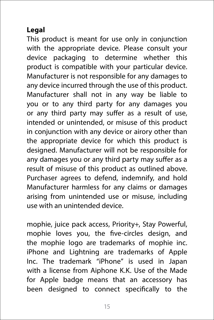#### **Legal**

This product is meant for use only in conjunction with the appropriate device. Please consult your device packaging to determine whether this product is compatible with your particular device. Manufacturer is not responsible for any damages to any device incurred through the use of this product. Manufacturer shall not in any way be liable to you or to any third party for any damages you or any third party may suffer as a result of use, intended or unintended, or misuse of this product in conjunction with any device or airory other than the appropriate device for which this product is designed. Manufacturer will not be responsible for any damages you or any third party may suffer as a result of misuse of this product as outlined above. Purchaser agrees to defend, indemnify, and hold Manufacturer harmless for any claims or damages arising from unintended use or misuse, including use with an unintended device.

mophie, juice pack access, Priority+, Stay Powerful, mophie loves you, the five-circles design, and the mophie logo are trademarks of mophie inc. iPhone and Lightning are trademarks of Apple Inc. The trademark "iPhone" is used in Japan with a license from Aiphone K.K. Use of the Made for Apple badge means that an accessory has been designed to connect specifically to the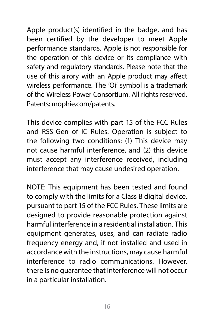Apple product(s) identified in the badge, and has been certified by the developer to meet Apple performance standards. Apple is not responsible for the operation of this device or its compliance with safety and regulatory standards. Please note that the use of this airory with an Apple product may affect wireless performance. The 'Qi' symbol is a trademark of the Wireless Power Consortium. All rights reserved. Patents: mophie.com/patents.

This device complies with part 15 of the FCC Rules and RSS-Gen of IC Rules. Operation is subject to the following two conditions: (1) This device may not cause harmful interference, and (2) this device must accept any interference received, including interference that may cause undesired operation.

NOTE: This equipment has been tested and found to comply with the limits for a Class B digital device, pursuant to part 15 of the FCC Rules. These limits are designed to provide reasonable protection against harmful interference in a residential installation. This equipment generates, uses, and can radiate radio frequency energy and, if not installed and used in accordance with the instructions, may cause harmful interference to radio communications. However, there is no guarantee that interference will not occur in a particular installation.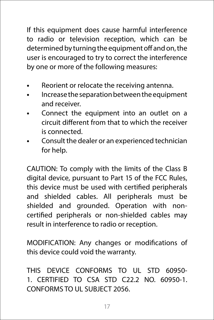If this equipment does cause harmful interference to radio or television reception, which can be determined by turning the equipment off and on, the user is encouraged to try to correct the interference by one or more of the following measures:

- **•** Reorient or relocate the receiving antenna.
- **•** Increase the separation between the equipment and receiver.
- **•** Connect the equipment into an outlet on a circuit different from that to which the receiver is connected.
- **•** Consult the dealer or an experienced technician for help.

CAUTION: To comply with the limits of the Class B digital device, pursuant to Part 15 of the FCC Rules, this device must be used with certified peripherals and shielded cables. All peripherals must be shielded and grounded. Operation with noncertified peripherals or non-shielded cables may result in interference to radio or reception.

MODIFICATION: Any changes or modifications of this device could void the warranty.

THIS DEVICE CONFORMS TO UL STD 60950-1. CERTIFIED TO CSA STD C22.2 NO. 60950-1. CONFORMS TO UL SUBJECT 2056.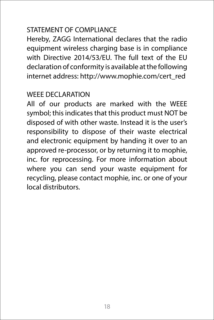#### STATEMENT OF COMPLIANCE

Hereby, ZAGG International declares that the radio equipment wireless charging base is in compliance with Directive 2014/53/EU. The full text of the EU declaration of conformity is available at the following internet address: http://www.mophie.com/cert\_red

#### WEEE DECLARATION

All of our products are marked with the WEEE symbol; this indicates that this product must NOT be disposed of with other waste. Instead it is the user's responsibility to dispose of their waste electrical and electronic equipment by handing it over to an approved re-processor, or by returning it to mophie, inc. for reprocessing. For more information about where you can send your waste equipment for recycling, please contact mophie, inc. or one of your local distributors.